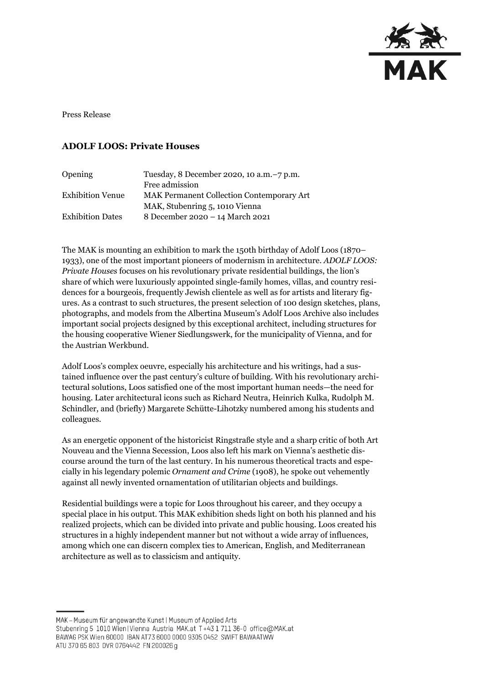

Press Release

## **ADOLF LOOS: Private Houses**

| <b>Opening</b>          | Tuesday, 8 December 2020, 10 a.m. -7 p.m.        |
|-------------------------|--------------------------------------------------|
|                         | Free admission                                   |
| <b>Exhibition Venue</b> | <b>MAK Permanent Collection Contemporary Art</b> |
|                         | MAK, Stubenring 5, 1010 Vienna                   |
| <b>Exhibition Dates</b> | 8 December 2020 - 14 March 2021                  |

The MAK is mounting an exhibition to mark the 150th birthday of Adolf Loos (1870– 1933), one of the most important pioneers of modernism in architecture. *ADOLF LOOS: Private Houses* focuses on his revolutionary private residential buildings, the lion's share of which were luxuriously appointed single-family homes, villas, and country residences for a bourgeois, frequently Jewish clientele as well as for artists and literary figures. As a contrast to such structures, the present selection of 100 design sketches, plans, photographs, and models from the Albertina Museum's Adolf Loos Archive also includes important social projects designed by this exceptional architect, including structures for the housing cooperative Wiener Siedlungswerk, for the municipality of Vienna, and for the Austrian Werkbund.

Adolf Loos's complex oeuvre, especially his architecture and his writings, had a sustained influence over the past century's culture of building. With his revolutionary architectural solutions, Loos satisfied one of the most important human needs—the need for housing. Later architectural icons such as Richard Neutra, Heinrich Kulka, Rudolph M. Schindler, and (briefly) Margarete Schütte-Lihotzky numbered among his students and colleagues.

As an energetic opponent of the historicist Ringstraße style and a sharp critic of both Art Nouveau and the Vienna Secession, Loos also left his mark on Vienna's aesthetic discourse around the turn of the last century. In his numerous theoretical tracts and especially in his legendary polemic *Ornament and Crime* (1908), he spoke out vehemently against all newly invented ornamentation of utilitarian objects and buildings.

Residential buildings were a topic for Loos throughout his career, and they occupy a special place in his output. This MAK exhibition sheds light on both his planned and his realized projects, which can be divided into private and public housing. Loos created his structures in a highly independent manner but not without a wide array of influences, among which one can discern complex ties to American, English, and Mediterranean architecture as well as to classicism and antiquity.

MAK - Museum für angewandte Kunst | Museum of Applied Arts Stubenring 5 1010 Wien | Vienna Austria MAK.at T+43 1 711 36-0 office@MAK.at BAWAG PSK Wien 60000 IBAN AT73 6000 0000 9305 0452 SWIFT BAWAATWW ATU 370 65 803 DVR 0764442 FN 200026 g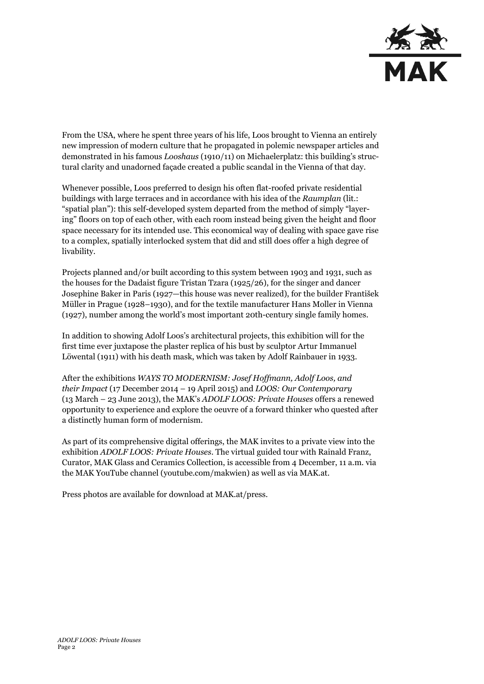

From the USA, where he spent three years of his life, Loos brought to Vienna an entirely new impression of modern culture that he propagated in polemic newspaper articles and demonstrated in his famous *Looshaus* (1910/11) on Michaelerplatz: this building's structural clarity and unadorned façade created a public scandal in the Vienna of that day.

Whenever possible, Loos preferred to design his often flat-roofed private residential buildings with large terraces and in accordance with his idea of the *Raumplan* (lit.: "spatial plan"): this self-developed system departed from the method of simply "layering" floors on top of each other, with each room instead being given the height and floor space necessary for its intended use. This economical way of dealing with space gave rise to a complex, spatially interlocked system that did and still does offer a high degree of livability.

Projects planned and/or built according to this system between 1903 and 1931, such as the houses for the Dadaist figure Tristan Tzara (1925/26), for the singer and dancer Josephine Baker in Paris (1927—this house was never realized), for the builder František Müller in Prague (1928–1930), and for the textile manufacturer Hans Moller in Vienna (1927), number among the world's most important 20th-century single family homes.

In addition to showing Adolf Loos's architectural projects, this exhibition will for the first time ever juxtapose the plaster replica of his bust by sculptor Artur Immanuel Löwental (1911) with his death mask, which was taken by Adolf Rainbauer in 1933.

After the exhibitions *WAYS TO MODERNISM: Josef Hoffmann, Adolf Loos, and their Impact* (17 December 2014 – 19 April 2015) and *LOOS: Our Contemporary*  (13 March – 23 June 2013), the MAK's *ADOLF LOOS: Private Houses* offers a renewed opportunity to experience and explore the oeuvre of a forward thinker who quested after a distinctly human form of modernism.

As part of its comprehensive digital offerings, the MAK invites to a private view into the exhibition *ADOLF LOOS: Private Houses*. The virtual guided tour with Rainald Franz, Curator, MAK Glass and Ceramics Collection, is accessible from 4 December, 11 a.m. via the MAK YouTube channel [\(youtube.com/makwien\)](https://www.youtube.com/makwien) as well as via MAK.at.

Press photos are available for download at MAK.at/press.